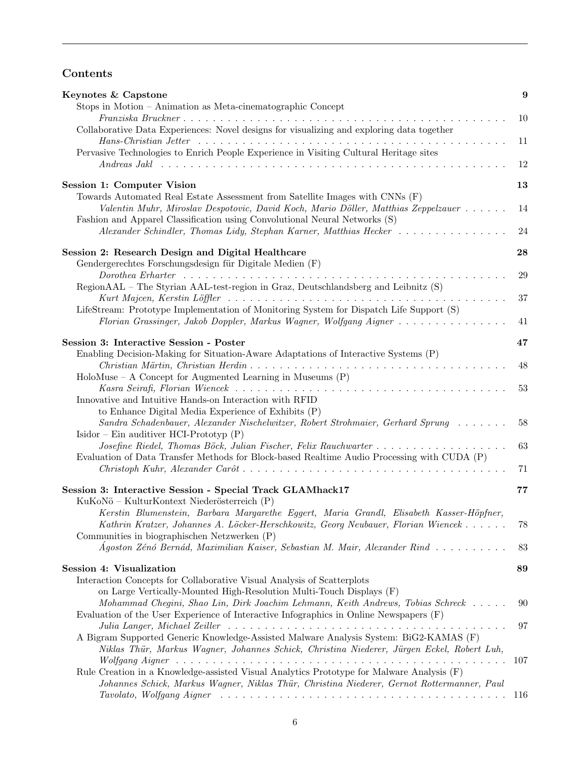## Contents

| Keynotes & Capstone                                                                                                                                                                                                               | 9   |
|-----------------------------------------------------------------------------------------------------------------------------------------------------------------------------------------------------------------------------------|-----|
| Stops in Motion - Animation as Meta-cinematographic Concept                                                                                                                                                                       |     |
| Collaborative Data Experiences: Novel designs for visualizing and exploring data together                                                                                                                                         | 10  |
| Pervasive Technologies to Enrich People Experience in Visiting Cultural Heritage sites                                                                                                                                            | 11  |
| Andreas Jaklahrana and the set of the set of the set of the set of the set of the set of the set of the set of the set of the set of the set of the set of the set of the set of the set of the set of the set of the set of      | 12  |
| Session 1: Computer Vision<br>Towards Automated Real Estate Assessment from Satellite Images with CNNs (F)                                                                                                                        | 13  |
| Valentin Muhr, Miroslav Despotovic, David Koch, Mario Döller, Matthias Zeppelzauer<br>Fashion and Apparel Classification using Convolutional Neural Networks (S)                                                                  | 14  |
| Alexander Schindler, Thomas Lidy, Stephan Karner, Matthias Hecker                                                                                                                                                                 | 24  |
| Session 2: Research Design and Digital Healthcare<br>Gendergerechtes Forschungsdesign für Digitale Medien (F)                                                                                                                     | 28  |
| RegionAAL - The Styrian AAL-test-region in Graz, Deutschlandsberg and Leibnitz (S)                                                                                                                                                | 29  |
| LifeStream: Prototype Implementation of Monitoring System for Dispatch Life Support (S)                                                                                                                                           | 37  |
| Florian Grassinger, Jakob Doppler, Markus Wagner, Wolfgang Aigner                                                                                                                                                                 | 41  |
| Session 3: Interactive Session - Poster<br>Enabling Decision-Making for Situation-Aware Adaptations of Interactive Systems (P)                                                                                                    | 47  |
|                                                                                                                                                                                                                                   | 48  |
| $HoloMuse - A Concept for Augmented Learning in Museums (P)$<br>Innovative and Intuitive Hands-on Interaction with RFID                                                                                                           | 53  |
| to Enhance Digital Media Experience of Exhibits (P)                                                                                                                                                                               |     |
| Sandra Schadenbauer, Alexander Nischelwitzer, Robert Strohmaier, Gerhard Sprung<br>Isidor – Ein auditiver HCI-Prototyp $(P)$                                                                                                      | 58  |
| Josefine Riedel, Thomas Böck, Julian Fischer, Felix Rauchwarter<br>Evaluation of Data Transfer Methods for Block-based Realtime Audio Processing with CUDA (P)                                                                    | 63  |
|                                                                                                                                                                                                                                   | 71  |
| Session 3: Interactive Session - Special Track GLAMhack17<br>KuKoNö – KulturKontext Niederösterreich (P)                                                                                                                          | 77  |
| Kerstin Blumenstein, Barbara Margarethe Eggert, Maria Grandl, Elisabeth Kasser-Höpfner,<br>Kathrin Kratzer, Johannes A. Löcker-Herschkowitz, Georg Neubauer, Florian Wiencek<br>Communities in biographischen Netzwerken (P)      | 78  |
| Ágoston Zénó Bernád, Maximilian Kaiser, Sebastian M. Mair, Alexander Rind                                                                                                                                                         | 83  |
| Session 4: Visualization                                                                                                                                                                                                          | 89  |
| Interaction Concepts for Collaborative Visual Analysis of Scatterplots<br>on Large Vertically-Mounted High-Resolution Multi-Touch Displays (F)<br>Mohammad Chegini, Shao Lin, Dirk Joachim Lehmann, Keith Andrews, Tobias Schreck | 90  |
| Evaluation of the User Experience of Interactive Infographics in Online Newspapers (F)                                                                                                                                            | 97  |
| A Bigram Supported Generic Knowledge-Assisted Malware Analysis System: BiG2-KAMAS (F)<br>Niklas Thür, Markus Wagner, Johannes Schick, Christina Niederer, Jürgen Eckel, Robert Luh,                                               |     |
| Rule Creation in a Knowledge-assisted Visual Analytics Prototype for Malware Analysis (F)<br>Johannes Schick, Markus Wagner, Niklas Thür, Christina Niederer, Gernot Rottermanner, Paul                                           | 107 |
|                                                                                                                                                                                                                                   |     |